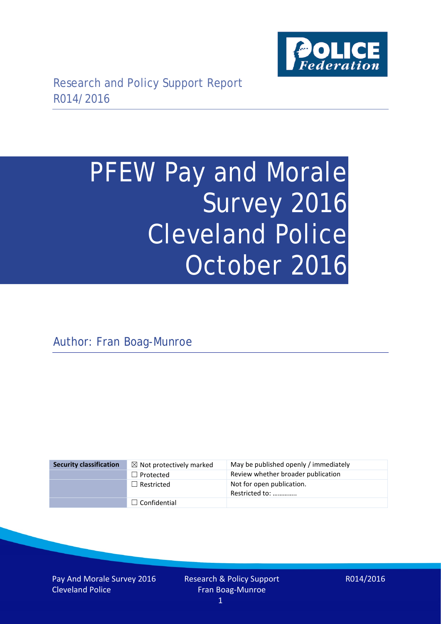

# PFEW Pay and Morale Survey 2016 Cleveland Police October 2016

Author: Fran Boag-Munroe

| <b>Security classification</b> | $\boxtimes$ Not protectively marked | May be published openly / immediately       |
|--------------------------------|-------------------------------------|---------------------------------------------|
|                                | $\Box$ Protected                    | Review whether broader publication          |
|                                | $\Box$ Restricted                   | Not for open publication.<br>Restricted to: |
|                                | $\Box$ Confidential                 |                                             |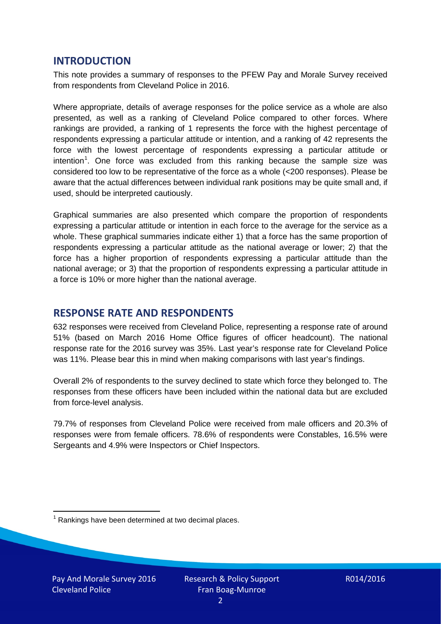# **INTRODUCTION**

This note provides a summary of responses to the PFEW Pay and Morale Survey received from respondents from Cleveland Police in 2016.

Where appropriate, details of average responses for the police service as a whole are also presented, as well as a ranking of Cleveland Police compared to other forces. Where rankings are provided, a ranking of 1 represents the force with the highest percentage of respondents expressing a particular attitude or intention, and a ranking of 42 represents the force with the lowest percentage of respondents expressing a particular attitude or intention<sup>[1](#page-1-0)</sup>. One force was excluded from this ranking because the sample size was considered too low to be representative of the force as a whole (<200 responses). Please be aware that the actual differences between individual rank positions may be quite small and, if used, should be interpreted cautiously.

Graphical summaries are also presented which compare the proportion of respondents expressing a particular attitude or intention in each force to the average for the service as a whole. These graphical summaries indicate either 1) that a force has the same proportion of respondents expressing a particular attitude as the national average or lower; 2) that the force has a higher proportion of respondents expressing a particular attitude than the national average; or 3) that the proportion of respondents expressing a particular attitude in a force is 10% or more higher than the national average.

# **RESPONSE RATE AND RESPONDENTS**

632 responses were received from Cleveland Police, representing a response rate of around 51% (based on March 2016 Home Office figures of officer headcount). The national response rate for the 2016 survey was 35%. Last year's response rate for Cleveland Police was 11%. Please bear this in mind when making comparisons with last year's findings.

Overall 2% of respondents to the survey declined to state which force they belonged to. The responses from these officers have been included within the national data but are excluded from force-level analysis.

79.7% of responses from Cleveland Police were received from male officers and 20.3% of responses were from female officers. 78.6% of respondents were Constables, 16.5% were Sergeants and 4.9% were Inspectors or Chief Inspectors.

<span id="page-1-0"></span> $1$  Rankings have been determined at two decimal places.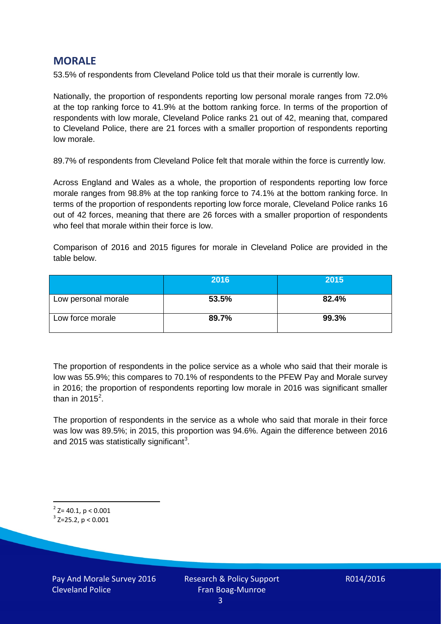# **MORALE**

53.5% of respondents from Cleveland Police told us that their morale is currently low.

Nationally, the proportion of respondents reporting low personal morale ranges from 72.0% at the top ranking force to 41.9% at the bottom ranking force. In terms of the proportion of respondents with low morale, Cleveland Police ranks 21 out of 42, meaning that, compared to Cleveland Police, there are 21 forces with a smaller proportion of respondents reporting low morale.

89.7% of respondents from Cleveland Police felt that morale within the force is currently low.

Across England and Wales as a whole, the proportion of respondents reporting low force morale ranges from 98.8% at the top ranking force to 74.1% at the bottom ranking force. In terms of the proportion of respondents reporting low force morale, Cleveland Police ranks 16 out of 42 forces, meaning that there are 26 forces with a smaller proportion of respondents who feel that morale within their force is low.

Comparison of 2016 and 2015 figures for morale in Cleveland Police are provided in the table below.

|                     | 2016  | 2015  |
|---------------------|-------|-------|
| Low personal morale | 53.5% | 82.4% |
| Low force morale    | 89.7% | 99.3% |

The proportion of respondents in the police service as a whole who said that their morale is low was 55.9%; this compares to 70.1% of respondents to the PFEW Pay and Morale survey in 2016; the proportion of respondents reporting low morale in 2016 was significant smaller than in [2](#page-2-0)015 $^2$ .

The proportion of respondents in the service as a whole who said that morale in their force was low was 89.5%; in 2015, this proportion was 94.6%. Again the difference between 2016 and 2015 was statistically significant<sup>[3](#page-2-1)</sup>.

<span id="page-2-0"></span> $2$  Z= 40.1, p < 0.001

<span id="page-2-1"></span> $3$  Z=25.2, p < 0.001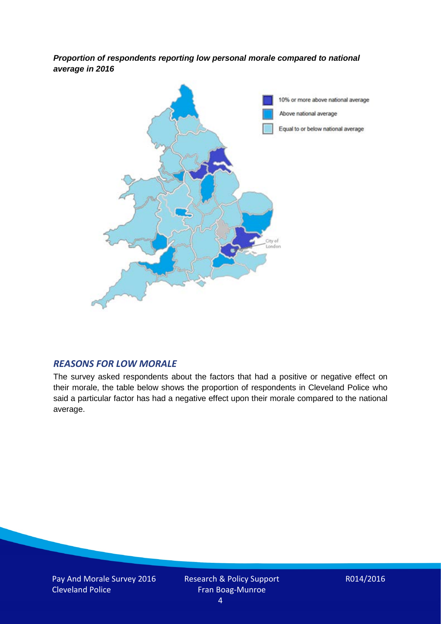*Proportion of respondents reporting low personal morale compared to national average in 2016*



## *REASONS FOR LOW MORALE*

The survey asked respondents about the factors that had a positive or negative effect on their morale, the table below shows the proportion of respondents in Cleveland Police who said a particular factor has had a negative effect upon their morale compared to the national average.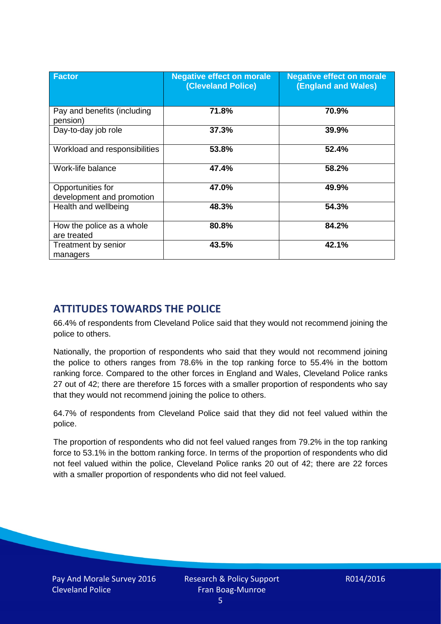| <b>Factor</b>                                  | <b>Negative effect on morale</b><br><b>(Cleveland Police)</b> | <b>Negative effect on morale</b><br>(England and Wales) |
|------------------------------------------------|---------------------------------------------------------------|---------------------------------------------------------|
| Pay and benefits (including<br>pension)        | 71.8%                                                         | 70.9%                                                   |
| Day-to-day job role                            | 37.3%                                                         | 39.9%                                                   |
| Workload and responsibilities                  | 53.8%                                                         | 52.4%                                                   |
| Work-life balance                              | 47.4%                                                         | 58.2%                                                   |
| Opportunities for<br>development and promotion | 47.0%                                                         | 49.9%                                                   |
| Health and wellbeing                           | 48.3%                                                         | 54.3%                                                   |
| How the police as a whole<br>are treated       | 80.8%                                                         | 84.2%                                                   |
| Treatment by senior<br>managers                | 43.5%                                                         | 42.1%                                                   |

# **ATTITUDES TOWARDS THE POLICE**

66.4% of respondents from Cleveland Police said that they would not recommend joining the police to others.

Nationally, the proportion of respondents who said that they would not recommend joining the police to others ranges from 78.6% in the top ranking force to 55.4% in the bottom ranking force. Compared to the other forces in England and Wales, Cleveland Police ranks 27 out of 42; there are therefore 15 forces with a smaller proportion of respondents who say that they would not recommend joining the police to others.

64.7% of respondents from Cleveland Police said that they did not feel valued within the police.

The proportion of respondents who did not feel valued ranges from 79.2% in the top ranking force to 53.1% in the bottom ranking force. In terms of the proportion of respondents who did not feel valued within the police, Cleveland Police ranks 20 out of 42; there are 22 forces with a smaller proportion of respondents who did not feel valued.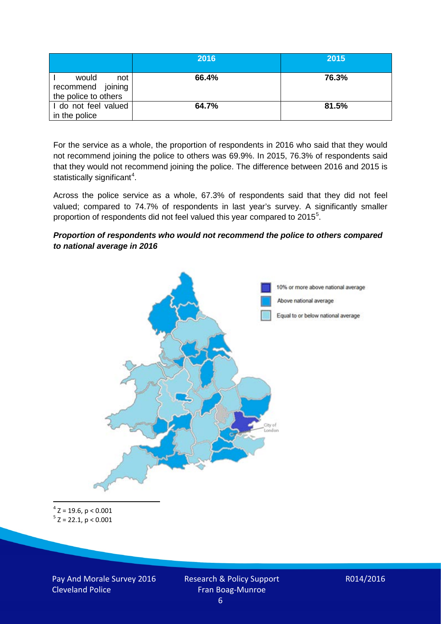|                                                           | 2016  | 2015  |
|-----------------------------------------------------------|-------|-------|
| would<br>not<br>recommend joining<br>the police to others | 66.4% | 76.3% |
| I do not feel valued<br>in the police                     | 64.7% | 81.5% |

For the service as a whole, the proportion of respondents in 2016 who said that they would not recommend joining the police to others was 69.9%. In 2015, 76.3% of respondents said that they would not recommend joining the police. The difference between 2016 and 2015 is statistically significant<sup>[4](#page-5-0)</sup>.

Across the police service as a whole, 67.3% of respondents said that they did not feel valued; compared to 74.7% of respondents in last year's survey. A significantly smaller proportion of respondents did not feel valued this year compared to 201[5](#page-5-1)<sup>5</sup>.

#### *Proportion of respondents who would not recommend the police to others compared to national average in 2016*



<span id="page-5-1"></span><span id="page-5-0"></span> $4$  Z = 19.6, p < 0.001  $5$  Z = 22.1, p < 0.001

Pay And Morale Survey 2016 Cleveland Police

Research & Policy Support Fran Boag-Munroe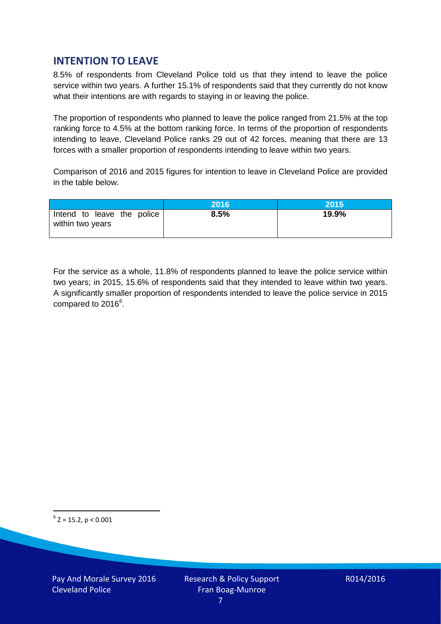# **INTENTION TO LEAVE**

8.5% of respondents from Cleveland Police told us that they intend to leave the police service within two years. A further 15.1% of respondents said that they currently do not know what their intentions are with regards to staying in or leaving the police.

The proportion of respondents who planned to leave the police ranged from 21.5% at the top ranking force to 4.5% at the bottom ranking force. In terms of the proportion of respondents intending to leave, Cleveland Police ranks 29 out of 42 forces, meaning that there are 13 forces with a smaller proportion of respondents intending to leave within two years.

Comparison of 2016 and 2015 figures for intention to leave in Cleveland Police are provided in the table below.

|                                                | 2016 | 2015' |
|------------------------------------------------|------|-------|
| Intend to leave the police<br>within two years | 8.5% | 19.9% |

For the service as a whole, 11.8% of respondents planned to leave the police service within two years; in 2015, 15.6% of respondents said that they intended to leave within two years. A significantly smaller proportion of respondents intended to leave the police service in 2015 compared to 201[6](#page-6-0)<sup>6</sup>.

<span id="page-6-0"></span> $6$  Z = 15.2, p < 0.001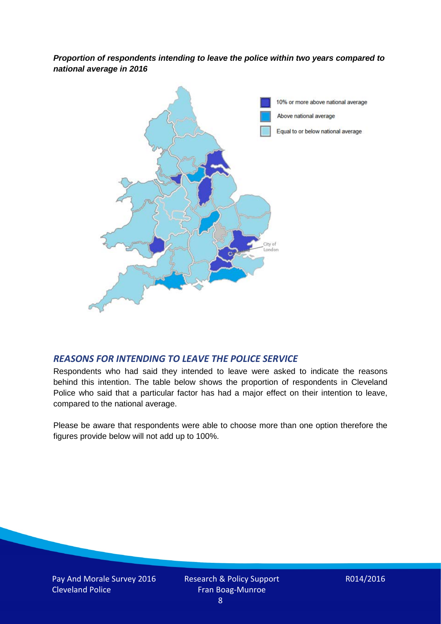*Proportion of respondents intending to leave the police within two years compared to national average in 2016*



## *REASONS FOR INTENDING TO LEAVE THE POLICE SERVICE*

Respondents who had said they intended to leave were asked to indicate the reasons behind this intention. The table below shows the proportion of respondents in Cleveland Police who said that a particular factor has had a major effect on their intention to leave, compared to the national average.

Please be aware that respondents were able to choose more than one option therefore the figures provide below will not add up to 100%.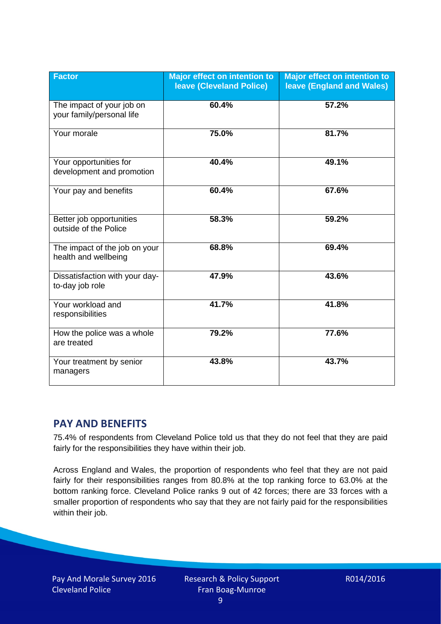| <b>Factor</b>                                          | Major effect on intention to<br><b>Ieave (Cleveland Police)</b> | <b>Major effect on intention to</b><br><b>leave (England and Wales)</b> |
|--------------------------------------------------------|-----------------------------------------------------------------|-------------------------------------------------------------------------|
| The impact of your job on<br>your family/personal life | 60.4%                                                           | 57.2%                                                                   |
| Your morale                                            | 75.0%                                                           | 81.7%                                                                   |
| Your opportunities for<br>development and promotion    | 40.4%                                                           | 49.1%                                                                   |
| Your pay and benefits                                  | 60.4%                                                           | 67.6%                                                                   |
| Better job opportunities<br>outside of the Police      | 58.3%                                                           | 59.2%                                                                   |
| The impact of the job on your<br>health and wellbeing  | 68.8%                                                           | 69.4%                                                                   |
| Dissatisfaction with your day-<br>to-day job role      | 47.9%                                                           | 43.6%                                                                   |
| Your workload and<br>responsibilities                  | 41.7%                                                           | 41.8%                                                                   |
| How the police was a whole<br>are treated              | 79.2%                                                           | 77.6%                                                                   |
| Your treatment by senior<br>managers                   | 43.8%                                                           | 43.7%                                                                   |

# **PAY AND BENEFITS**

75.4% of respondents from Cleveland Police told us that they do not feel that they are paid fairly for the responsibilities they have within their job.

Across England and Wales, the proportion of respondents who feel that they are not paid fairly for their responsibilities ranges from 80.8% at the top ranking force to 63.0% at the bottom ranking force. Cleveland Police ranks 9 out of 42 forces; there are 33 forces with a smaller proportion of respondents who say that they are not fairly paid for the responsibilities within their job.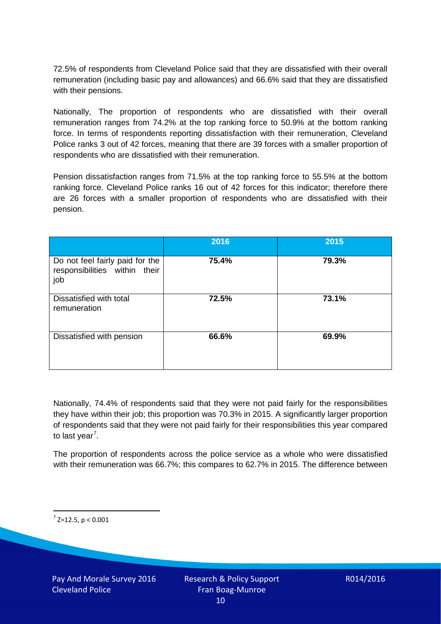72.5% of respondents from Cleveland Police said that they are dissatisfied with their overall remuneration (including basic pay and allowances) and 66.6% said that they are dissatisfied with their pensions.

Nationally, The proportion of respondents who are dissatisfied with their overall remuneration ranges from 74.2% at the top ranking force to 50.9% at the bottom ranking force. In terms of respondents reporting dissatisfaction with their remuneration, Cleveland Police ranks 3 out of 42 forces, meaning that there are 39 forces with a smaller proportion of respondents who are dissatisfied with their remuneration.

Pension dissatisfaction ranges from 71.5% at the top ranking force to 55.5% at the bottom ranking force. Cleveland Police ranks 16 out of 42 forces for this indicator; therefore there are 26 forces with a smaller proportion of respondents who are dissatisfied with their pension.

|                                                                         | 2016  | 2015  |
|-------------------------------------------------------------------------|-------|-------|
| Do not feel fairly paid for the<br>responsibilities within their<br>job | 75.4% | 79.3% |
| Dissatisfied with total<br>remuneration                                 | 72.5% | 73.1% |
| Dissatisfied with pension                                               | 66.6% | 69.9% |

Nationally, 74.4% of respondents said that they were not paid fairly for the responsibilities they have within their job; this proportion was 70.3% in 2015. A significantly larger proportion of respondents said that they were not paid fairly for their responsibilities this year compared to last year<sup>[7](#page-9-0)</sup>.

The proportion of respondents across the police service as a whole who were dissatisfied with their remuneration was 66.7%; this compares to 62.7% in 2015. The difference between

<span id="page-9-0"></span> $7$  Z=12.5, p < 0.001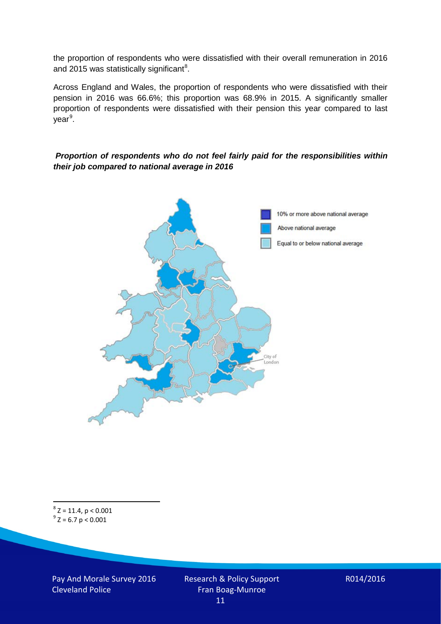the proportion of respondents who were dissatisfied with their overall remuneration in 2016 and 2015 was statistically significant<sup>[8](#page-10-0)</sup>.

Across England and Wales, the proportion of respondents who were dissatisfied with their pension in 2016 was 66.6%; this proportion was 68.9% in 2015. A significantly smaller proportion of respondents were dissatisfied with their pension this year compared to last year<sup>[9](#page-10-1)</sup>.

#### *Proportion of respondents who do not feel fairly paid for the responsibilities within their job compared to national average in 2016*



<span id="page-10-1"></span><span id="page-10-0"></span> ${}^{8}Z = 11.4, p < 0.001$ <br> ${}^{9}Z = 6.7 p < 0.001$ 

Pay And Morale Survey 2016 Cleveland Police

Research & Policy Support Fran Boag-Munroe 11

R014/2016